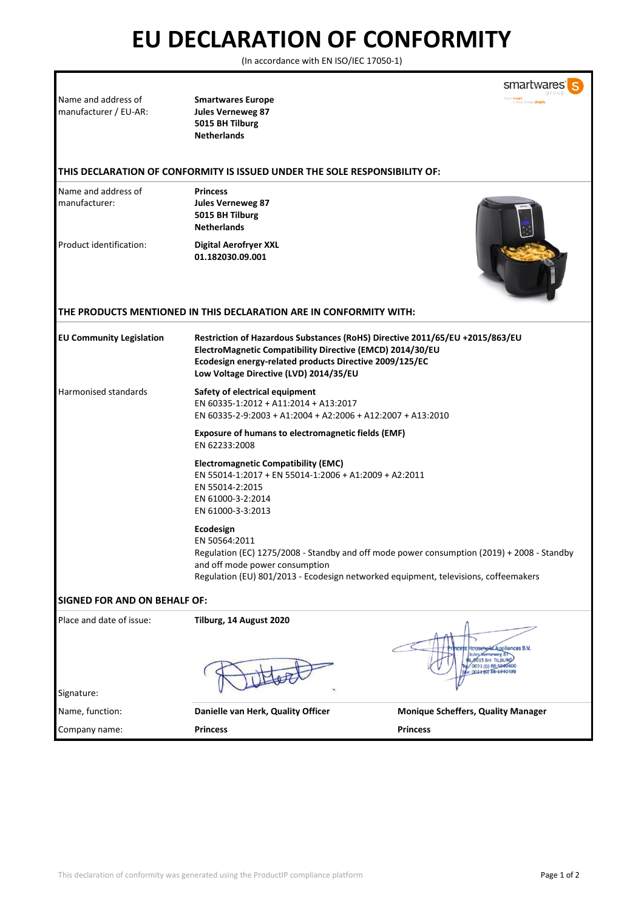## **EU DECLARATION OF CONFORMITY**

(In accordance with EN ISO/IEC 17050-1)

|                                              |                                                                                                                                                                                                                                                | smartwa                                                                                                                                                                           |
|----------------------------------------------|------------------------------------------------------------------------------------------------------------------------------------------------------------------------------------------------------------------------------------------------|-----------------------------------------------------------------------------------------------------------------------------------------------------------------------------------|
| Name and address of<br>manufacturer / EU-AR: | <b>Smartwares Europe</b><br><b>Jules Verneweg 87</b><br>5015 BH Tilburg<br><b>Netherlands</b>                                                                                                                                                  |                                                                                                                                                                                   |
|                                              | THIS DECLARATION OF CONFORMITY IS ISSUED UNDER THE SOLE RESPONSIBILITY OF:                                                                                                                                                                     |                                                                                                                                                                                   |
| Name and address of<br>manufacturer:         | <b>Princess</b><br><b>Jules Verneweg 87</b><br>5015 BH Tilburg<br><b>Netherlands</b>                                                                                                                                                           |                                                                                                                                                                                   |
| Product identification:                      | <b>Digital Aerofryer XXL</b><br>01.182030.09.001                                                                                                                                                                                               |                                                                                                                                                                                   |
|                                              | THE PRODUCTS MENTIONED IN THIS DECLARATION ARE IN CONFORMITY WITH:                                                                                                                                                                             |                                                                                                                                                                                   |
| <b>EU Community Legislation</b>              | Restriction of Hazardous Substances (RoHS) Directive 2011/65/EU +2015/863/EU<br>ElectroMagnetic Compatibility Directive (EMCD) 2014/30/EU<br>Ecodesign energy-related products Directive 2009/125/EC<br>Low Voltage Directive (LVD) 2014/35/EU |                                                                                                                                                                                   |
| Harmonised standards                         | Safety of electrical equipment<br>EN 60335-1:2012 + A11:2014 + A13:2017<br>EN 60335-2-9:2003 + A1:2004 + A2:2006 + A12:2007 + A13:2010                                                                                                         |                                                                                                                                                                                   |
|                                              | <b>Exposure of humans to electromagnetic fields (EMF)</b><br>EN 62233:2008                                                                                                                                                                     |                                                                                                                                                                                   |
|                                              | <b>Electromagnetic Compatibility (EMC)</b><br>EN 55014-1:2017 + EN 55014-1:2006 + A1:2009 + A2:2011<br>EN 55014-2:2015<br>EN 61000-3-2:2014<br>EN 61000-3-3:2013                                                                               |                                                                                                                                                                                   |
|                                              | Ecodesign<br>EN 50564:2011<br>and off mode power consumption                                                                                                                                                                                   | Regulation (EC) 1275/2008 - Standby and off mode power consumption (2019) + 2008 - Standby<br>Regulation (EU) 801/2013 - Ecodesign networked equipment, televisions, coffeemakers |
| <b>SIGNED FOR AND ON BEHALF OF:</b>          |                                                                                                                                                                                                                                                |                                                                                                                                                                                   |
| Place and date of issue:                     | Tilburg, 14 August 2020                                                                                                                                                                                                                        | lousehold Appliances B.V.<br><b>BO15 BH TILBURG</b><br>0031 (0) 88-5940400                                                                                                        |
| Signature:                                   |                                                                                                                                                                                                                                                |                                                                                                                                                                                   |
| Name, function:                              | Danielle van Herk, Quality Officer                                                                                                                                                                                                             | <b>Monique Scheffers, Quality Manager</b>                                                                                                                                         |
| Company name:                                | <b>Princess</b>                                                                                                                                                                                                                                | <b>Princess</b>                                                                                                                                                                   |